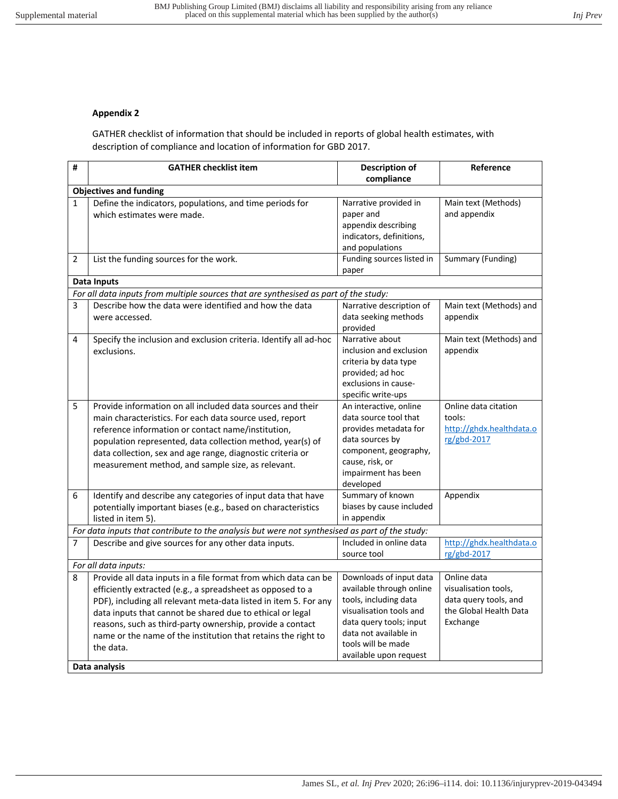## **Appendix 2**

GATHER checklist of information that should be included in reports of global health estimates, with description of compliance and location of information for GBD 2017.

| #                                                                                    | <b>GATHER checklist item</b>                                                                                                                                                                                                                                                                                                                                                                              | <b>Description of</b><br>compliance                                                                                                                                                                         | Reference                                                                                          |  |  |
|--------------------------------------------------------------------------------------|-----------------------------------------------------------------------------------------------------------------------------------------------------------------------------------------------------------------------------------------------------------------------------------------------------------------------------------------------------------------------------------------------------------|-------------------------------------------------------------------------------------------------------------------------------------------------------------------------------------------------------------|----------------------------------------------------------------------------------------------------|--|--|
| <b>Objectives and funding</b>                                                        |                                                                                                                                                                                                                                                                                                                                                                                                           |                                                                                                                                                                                                             |                                                                                                    |  |  |
| $\mathbf{1}$                                                                         | Define the indicators, populations, and time periods for<br>which estimates were made.                                                                                                                                                                                                                                                                                                                    | Narrative provided in<br>paper and<br>appendix describing<br>indicators, definitions,<br>and populations                                                                                                    | Main text (Methods)<br>and appendix                                                                |  |  |
| 2                                                                                    | List the funding sources for the work.                                                                                                                                                                                                                                                                                                                                                                    | Funding sources listed in<br>paper                                                                                                                                                                          | Summary (Funding)                                                                                  |  |  |
|                                                                                      | <b>Data Inputs</b>                                                                                                                                                                                                                                                                                                                                                                                        |                                                                                                                                                                                                             |                                                                                                    |  |  |
| For all data inputs from multiple sources that are synthesised as part of the study: |                                                                                                                                                                                                                                                                                                                                                                                                           |                                                                                                                                                                                                             |                                                                                                    |  |  |
| 3                                                                                    | Describe how the data were identified and how the data<br>were accessed.                                                                                                                                                                                                                                                                                                                                  | Narrative description of<br>data seeking methods<br>provided                                                                                                                                                | Main text (Methods) and<br>appendix                                                                |  |  |
| 4                                                                                    | Specify the inclusion and exclusion criteria. Identify all ad-hoc<br>exclusions.                                                                                                                                                                                                                                                                                                                          | Narrative about<br>inclusion and exclusion<br>criteria by data type<br>provided; ad hoc<br>exclusions in cause-<br>specific write-ups                                                                       | Main text (Methods) and<br>appendix                                                                |  |  |
| 5                                                                                    | Provide information on all included data sources and their<br>main characteristics. For each data source used, report<br>reference information or contact name/institution,<br>population represented, data collection method, year(s) of<br>data collection, sex and age range, diagnostic criteria or<br>measurement method, and sample size, as relevant.                                              | An interactive, online<br>data source tool that<br>provides metadata for<br>data sources by<br>component, geography,<br>cause, risk, or<br>impairment has been<br>developed                                 | Online data citation<br>tools:<br>http://ghdx.healthdata.o<br>rg/gbd-2017                          |  |  |
| 6                                                                                    | Identify and describe any categories of input data that have<br>potentially important biases (e.g., based on characteristics<br>listed in item 5).                                                                                                                                                                                                                                                        | Summary of known<br>biases by cause included<br>in appendix                                                                                                                                                 | Appendix                                                                                           |  |  |
|                                                                                      | For data inputs that contribute to the analysis but were not synthesised as part of the study:                                                                                                                                                                                                                                                                                                            |                                                                                                                                                                                                             |                                                                                                    |  |  |
| $\overline{7}$                                                                       | Describe and give sources for any other data inputs.                                                                                                                                                                                                                                                                                                                                                      | Included in online data<br>source tool                                                                                                                                                                      | http://ghdx.healthdata.o<br>rg/gbd-2017                                                            |  |  |
| For all data inputs:                                                                 |                                                                                                                                                                                                                                                                                                                                                                                                           |                                                                                                                                                                                                             |                                                                                                    |  |  |
| 8                                                                                    | Provide all data inputs in a file format from which data can be<br>efficiently extracted (e.g., a spreadsheet as opposed to a<br>PDF), including all relevant meta-data listed in item 5. For any<br>data inputs that cannot be shared due to ethical or legal<br>reasons, such as third-party ownership, provide a contact<br>name or the name of the institution that retains the right to<br>the data. | Downloads of input data<br>available through online<br>tools, including data<br>visualisation tools and<br>data query tools; input<br>data not available in<br>tools will be made<br>available upon request | Online data<br>visualisation tools,<br>data query tools, and<br>the Global Health Data<br>Exchange |  |  |
|                                                                                      | Data analysis                                                                                                                                                                                                                                                                                                                                                                                             |                                                                                                                                                                                                             |                                                                                                    |  |  |